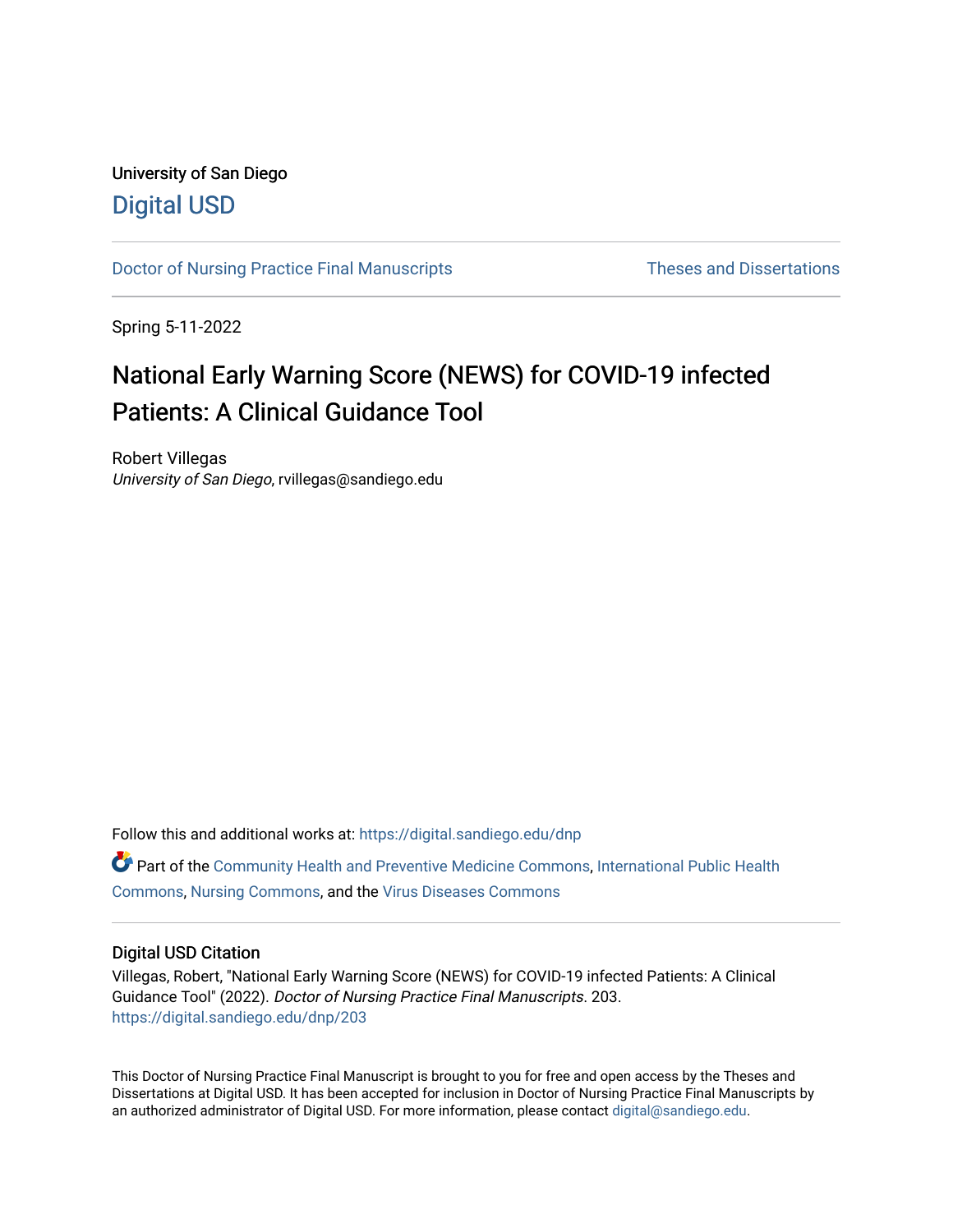# University of San Diego [Digital USD](https://digital.sandiego.edu/)

[Doctor of Nursing Practice Final Manuscripts](https://digital.sandiego.edu/dnp) Theses and Dissertations

Spring 5-11-2022

# National Early Warning Score (NEWS) for COVID-19 infected Patients: A Clinical Guidance Tool

Robert Villegas University of San Diego, rvillegas@sandiego.edu

Follow this and additional works at: [https://digital.sandiego.edu/dnp](https://digital.sandiego.edu/dnp?utm_source=digital.sandiego.edu%2Fdnp%2F203&utm_medium=PDF&utm_campaign=PDFCoverPages)  Part of the [Community Health and Preventive Medicine Commons](http://network.bepress.com/hgg/discipline/744?utm_source=digital.sandiego.edu%2Fdnp%2F203&utm_medium=PDF&utm_campaign=PDFCoverPages), [International Public Health](http://network.bepress.com/hgg/discipline/746?utm_source=digital.sandiego.edu%2Fdnp%2F203&utm_medium=PDF&utm_campaign=PDFCoverPages) [Commons](http://network.bepress.com/hgg/discipline/746?utm_source=digital.sandiego.edu%2Fdnp%2F203&utm_medium=PDF&utm_campaign=PDFCoverPages), [Nursing Commons,](http://network.bepress.com/hgg/discipline/718?utm_source=digital.sandiego.edu%2Fdnp%2F203&utm_medium=PDF&utm_campaign=PDFCoverPages) and the [Virus Diseases Commons](http://network.bepress.com/hgg/discipline/998?utm_source=digital.sandiego.edu%2Fdnp%2F203&utm_medium=PDF&utm_campaign=PDFCoverPages)

### Digital USD Citation

Villegas, Robert, "National Early Warning Score (NEWS) for COVID-19 infected Patients: A Clinical Guidance Tool" (2022). Doctor of Nursing Practice Final Manuscripts. 203. [https://digital.sandiego.edu/dnp/203](https://digital.sandiego.edu/dnp/203?utm_source=digital.sandiego.edu%2Fdnp%2F203&utm_medium=PDF&utm_campaign=PDFCoverPages) 

This Doctor of Nursing Practice Final Manuscript is brought to you for free and open access by the Theses and Dissertations at Digital USD. It has been accepted for inclusion in Doctor of Nursing Practice Final Manuscripts by an authorized administrator of Digital USD. For more information, please contact [digital@sandiego.edu](mailto:digital@sandiego.edu).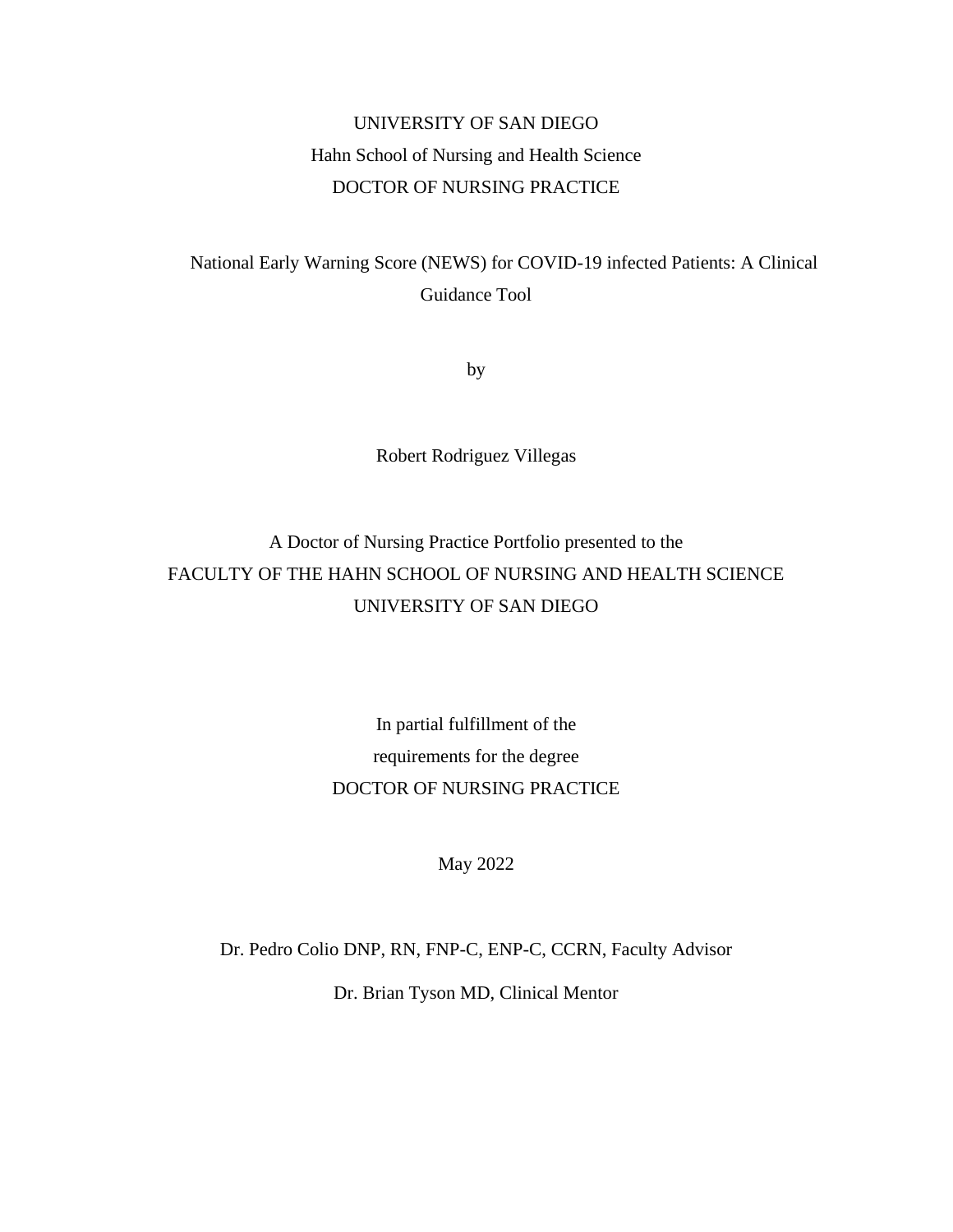# UNIVERSITY OF SAN DIEGO Hahn School of Nursing and Health Science DOCTOR OF NURSING PRACTICE

National Early Warning Score (NEWS) for COVID-19 infected Patients: A Clinical Guidance Tool

by

Robert Rodriguez Villegas

# A Doctor of Nursing Practice Portfolio presented to the FACULTY OF THE HAHN SCHOOL OF NURSING AND HEALTH SCIENCE UNIVERSITY OF SAN DIEGO

# In partial fulfillment of the requirements for the degree DOCTOR OF NURSING PRACTICE

May 2022

Dr. Pedro Colio DNP, RN, FNP-C, ENP-C, CCRN, Faculty Advisor Dr. Brian Tyson MD, Clinical Mentor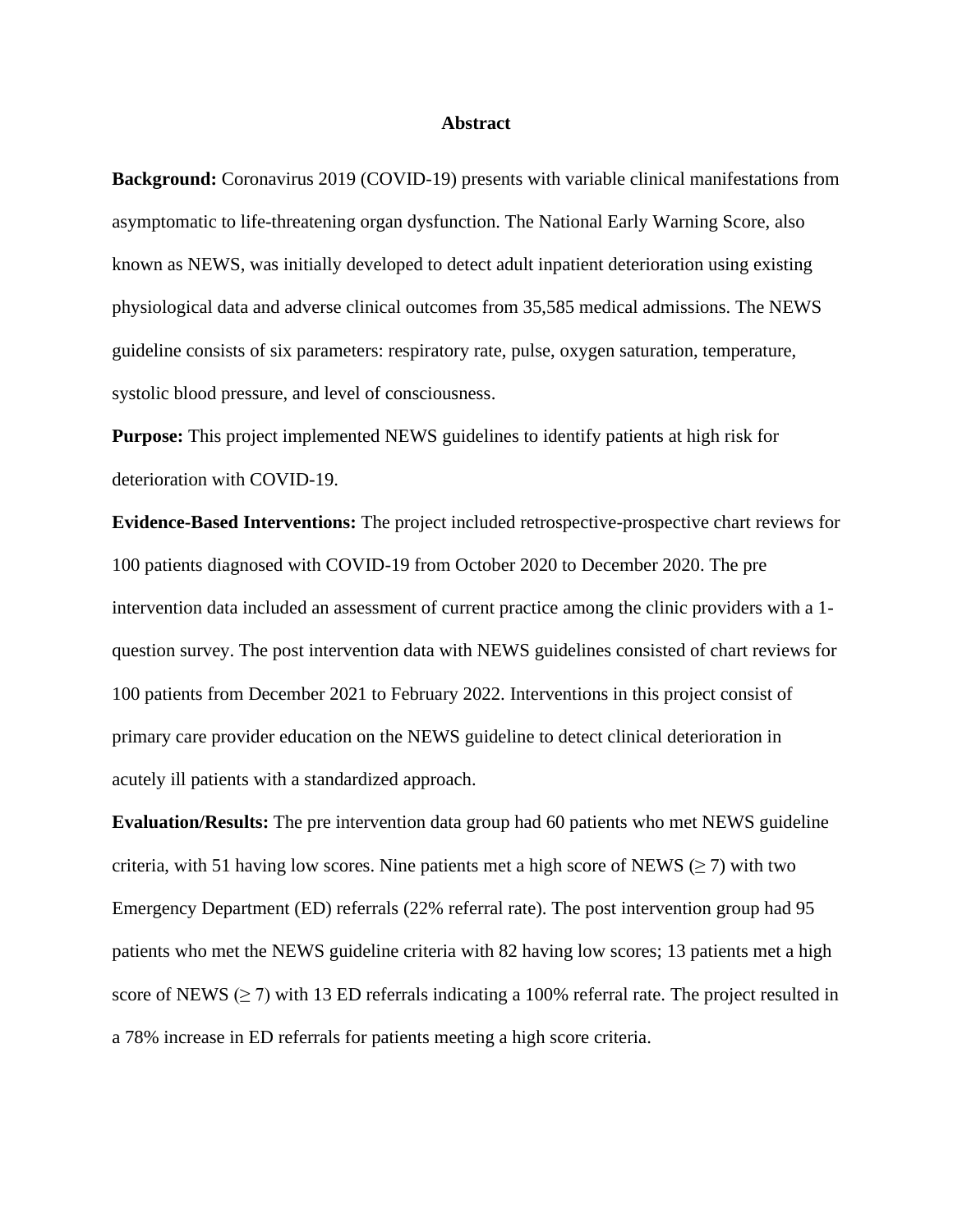#### **Abstract**

**Background:** Coronavirus 2019 (COVID-19) presents with variable clinical manifestations from asymptomatic to life-threatening organ dysfunction. The National Early Warning Score, also known as NEWS, was initially developed to detect adult inpatient deterioration using existing physiological data and adverse clinical outcomes from 35,585 medical admissions. The NEWS guideline consists of six parameters: respiratory rate, pulse, oxygen saturation, temperature, systolic blood pressure, and level of consciousness.

**Purpose:** This project implemented NEWS guidelines to identify patients at high risk for deterioration with COVID-19.

**Evidence-Based Interventions:** The project included retrospective-prospective chart reviews for 100 patients diagnosed with COVID-19 from October 2020 to December 2020. The pre intervention data included an assessment of current practice among the clinic providers with a 1 question survey. The post intervention data with NEWS guidelines consisted of chart reviews for 100 patients from December 2021 to February 2022. Interventions in this project consist of primary care provider education on the NEWS guideline to detect clinical deterioration in acutely ill patients with a standardized approach.

**Evaluation/Results:** The pre intervention data group had 60 patients who met NEWS guideline criteria, with 51 having low scores. Nine patients met a high score of NEWS ( $\geq$  7) with two Emergency Department (ED) referrals (22% referral rate). The post intervention group had 95 patients who met the NEWS guideline criteria with 82 having low scores; 13 patients met a high score of NEWS ( $\geq$  7) with 13 ED referrals indicating a 100% referral rate. The project resulted in a 78% increase in ED referrals for patients meeting a high score criteria.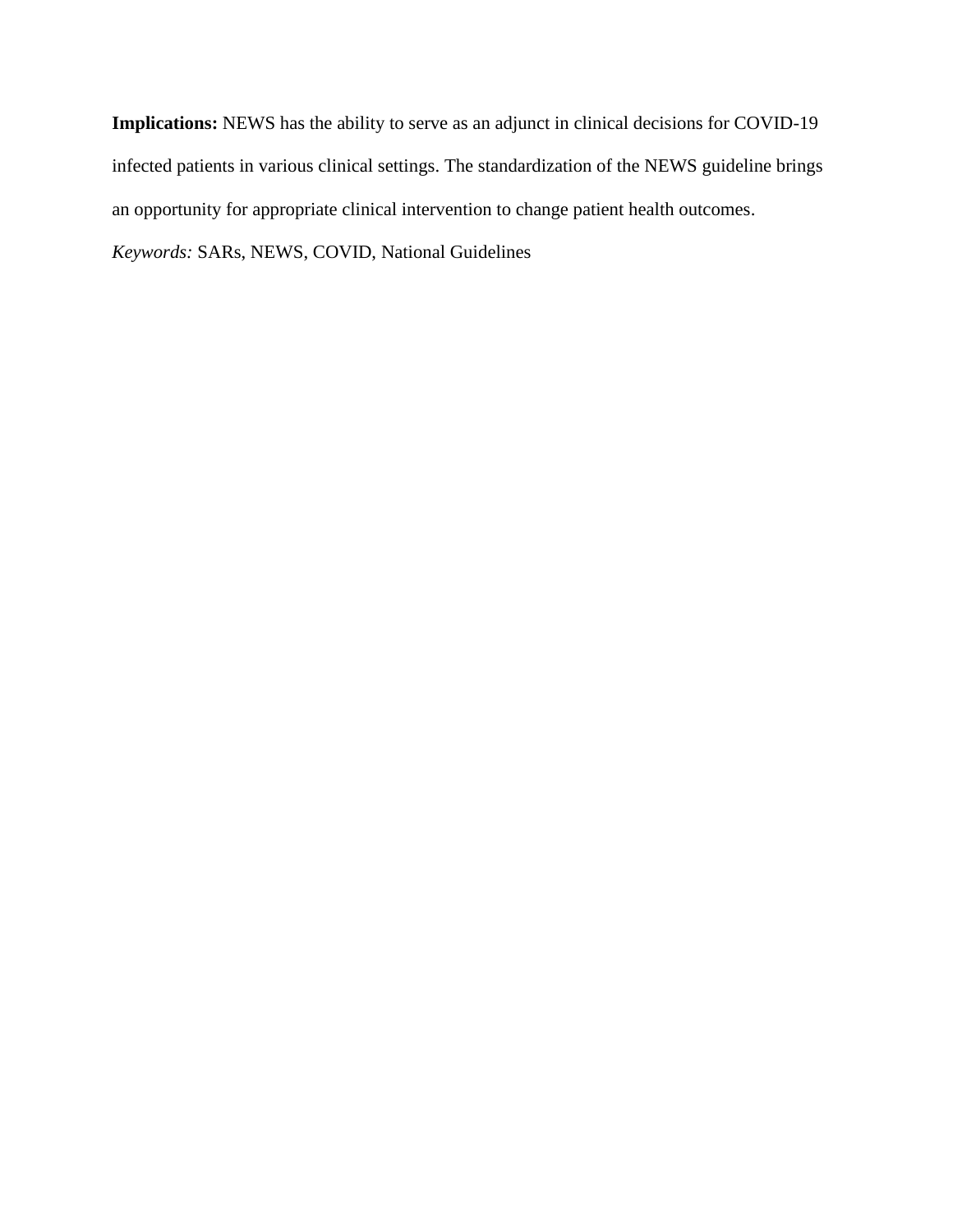**Implications:** NEWS has the ability to serve as an adjunct in clinical decisions for COVID-19 infected patients in various clinical settings. The standardization of the NEWS guideline brings an opportunity for appropriate clinical intervention to change patient health outcomes.

*Keywords:* SARs, NEWS, COVID, National Guidelines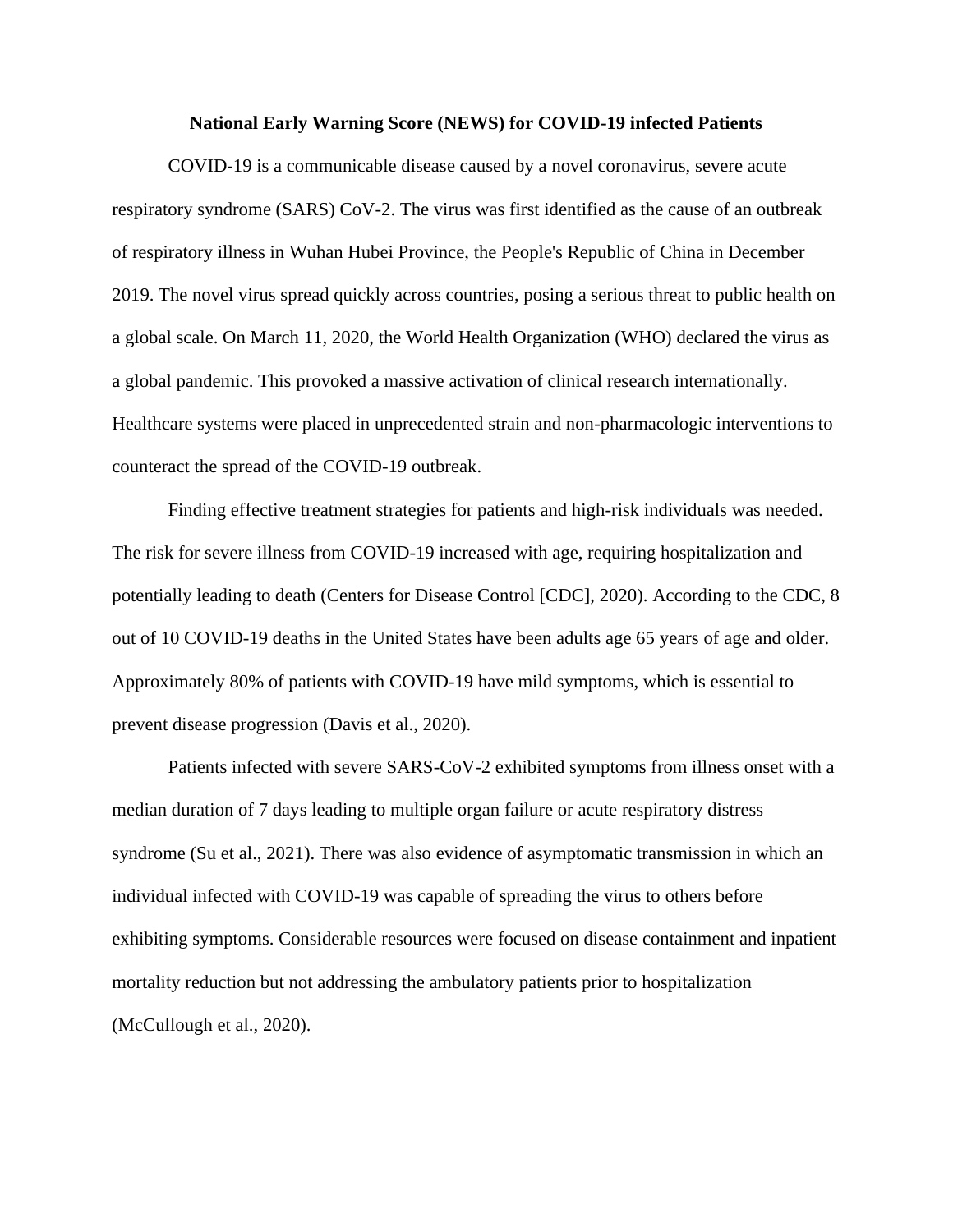#### **National Early Warning Score (NEWS) for COVID-19 infected Patients**

COVID-19 is a communicable disease caused by a novel coronavirus, severe acute respiratory syndrome (SARS) CoV-2. The virus was first identified as the cause of an outbreak of respiratory illness in Wuhan Hubei Province, the People's Republic of China in December 2019. The novel virus spread quickly across countries, posing a serious threat to public health on a global scale. On March 11, 2020, the World Health Organization (WHO) declared the virus as a global pandemic. This provoked a massive activation of clinical research internationally. Healthcare systems were placed in unprecedented strain and non-pharmacologic interventions to counteract the spread of the COVID-19 outbreak.

Finding effective treatment strategies for patients and high-risk individuals was needed. The risk for severe illness from COVID-19 increased with age, requiring hospitalization and potentially leading to death (Centers for Disease Control [CDC], 2020). According to the CDC, 8 out of 10 COVID-19 deaths in the United States have been adults age 65 years of age and older. Approximately 80% of patients with COVID-19 have mild symptoms, which is essential to prevent disease progression (Davis et al., 2020).

Patients infected with severe SARS-CoV-2 exhibited symptoms from illness onset with a median duration of 7 days leading to multiple organ failure or acute respiratory distress syndrome (Su et al., 2021). There was also evidence of asymptomatic transmission in which an individual infected with COVID-19 was capable of spreading the virus to others before exhibiting symptoms. Considerable resources were focused on disease containment and inpatient mortality reduction but not addressing the ambulatory patients prior to hospitalization (McCullough et al., 2020).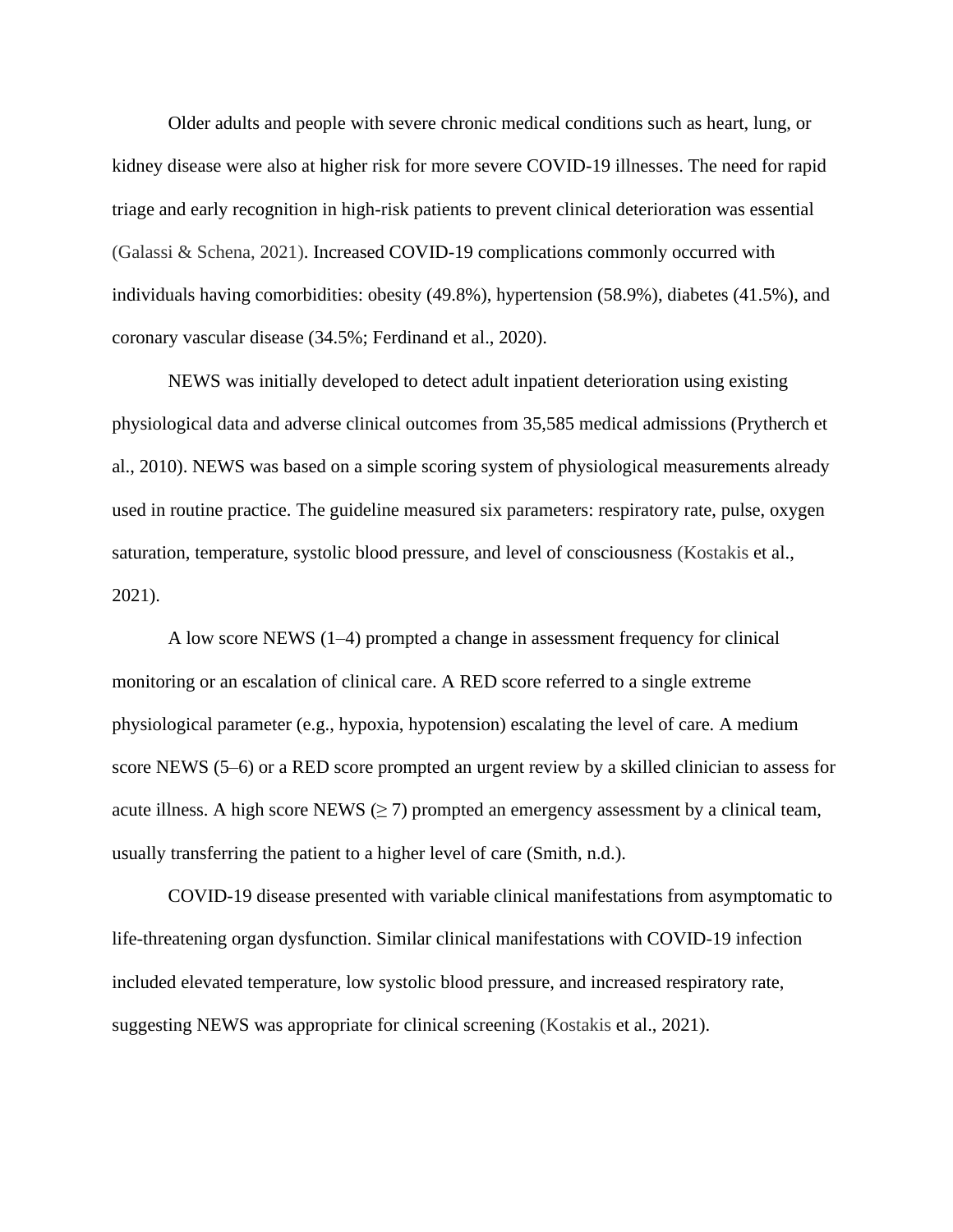Older adults and people with severe chronic medical conditions such as heart, lung, or kidney disease were also at higher risk for more severe COVID-19 illnesses. The need for rapid triage and early recognition in high-risk patients to prevent clinical deterioration was essential (Galassi & Schena, 2021). Increased COVID-19 complications commonly occurred with individuals having comorbidities: obesity (49.8%), hypertension (58.9%), diabetes (41.5%), and coronary vascular disease (34.5%; Ferdinand et al., 2020).

NEWS was initially developed to detect adult inpatient deterioration using existing physiological data and adverse clinical outcomes from 35,585 medical admissions (Prytherch et al., 2010). NEWS was based on a simple scoring system of physiological measurements already used in routine practice. The guideline measured six parameters: respiratory rate, pulse, oxygen saturation, temperature, systolic blood pressure, and level of consciousness (Kostakis et al., 2021).

A low score NEWS (1–4) prompted a change in assessment frequency for clinical monitoring or an escalation of clinical care. A RED score referred to a single extreme physiological parameter (e.g., hypoxia, hypotension) escalating the level of care. A medium score NEWS (5–6) or a RED score prompted an urgent review by a skilled clinician to assess for acute illness. A high score NEWS  $(\geq 7)$  prompted an emergency assessment by a clinical team, usually transferring the patient to a higher level of care (Smith, n.d.).

COVID-19 disease presented with variable clinical manifestations from asymptomatic to life-threatening organ dysfunction. Similar clinical manifestations with COVID-19 infection included elevated temperature, low systolic blood pressure, and increased respiratory rate, suggesting NEWS was appropriate for clinical screening (Kostakis et al., 2021).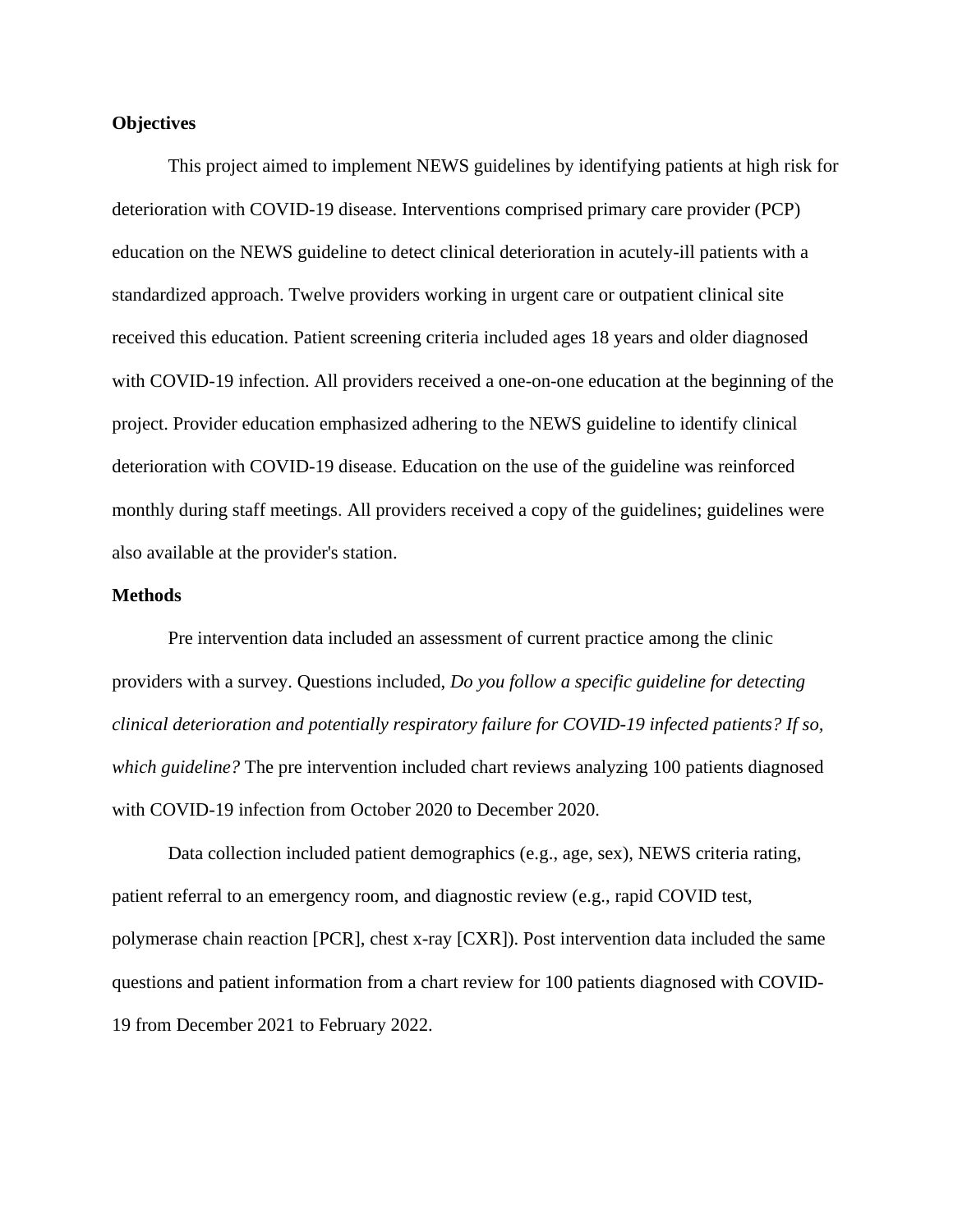### **Objectives**

This project aimed to implement NEWS guidelines by identifying patients at high risk for deterioration with COVID-19 disease. Interventions comprised primary care provider (PCP) education on the NEWS guideline to detect clinical deterioration in acutely-ill patients with a standardized approach. Twelve providers working in urgent care or outpatient clinical site received this education. Patient screening criteria included ages 18 years and older diagnosed with COVID-19 infection. All providers received a one-on-one education at the beginning of the project. Provider education emphasized adhering to the NEWS guideline to identify clinical deterioration with COVID-19 disease. Education on the use of the guideline was reinforced monthly during staff meetings. All providers received a copy of the guidelines; guidelines were also available at the provider's station.

#### **Methods**

Pre intervention data included an assessment of current practice among the clinic providers with a survey. Questions included, *Do you follow a specific guideline for detecting clinical deterioration and potentially respiratory failure for COVID-19 infected patients? If so, which guideline?* The pre intervention included chart reviews analyzing 100 patients diagnosed with COVID-19 infection from October 2020 to December 2020.

Data collection included patient demographics (e.g., age, sex), NEWS criteria rating, patient referral to an emergency room, and diagnostic review (e.g., rapid COVID test, polymerase chain reaction [PCR], chest x-ray [CXR]). Post intervention data included the same questions and patient information from a chart review for 100 patients diagnosed with COVID-19 from December 2021 to February 2022.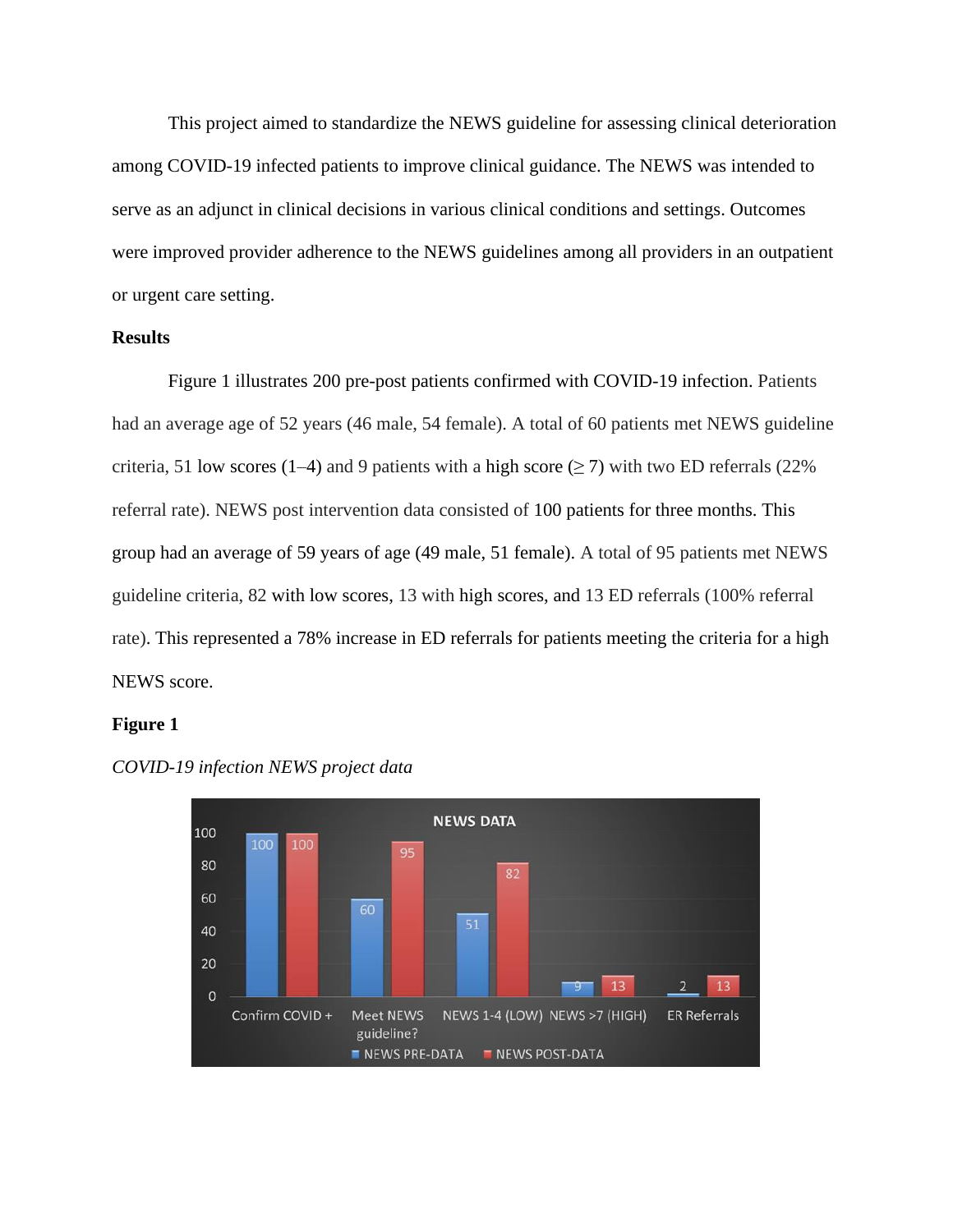This project aimed to standardize the NEWS guideline for assessing clinical deterioration among COVID-19 infected patients to improve clinical guidance. The NEWS was intended to serve as an adjunct in clinical decisions in various clinical conditions and settings. Outcomes were improved provider adherence to the NEWS guidelines among all providers in an outpatient or urgent care setting.

### **Results**

Figure 1 illustrates 200 pre-post patients confirmed with COVID-19 infection. Patients had an average age of 52 years (46 male, 54 female). A total of 60 patients met NEWS guideline criteria, 51 low scores (1–4) and 9 patients with a high score ( $\geq$  7) with two ED referrals (22%) referral rate). NEWS post intervention data consisted of 100 patients for three months. This group had an average of 59 years of age (49 male, 51 female). A total of 95 patients met NEWS guideline criteria, 82 with low scores, 13 with high scores, and 13 ED referrals (100% referral rate). This represented a 78% increase in ED referrals for patients meeting the criteria for a high NEWS score.

#### **Figure 1**



*COVID-19 infection NEWS project data*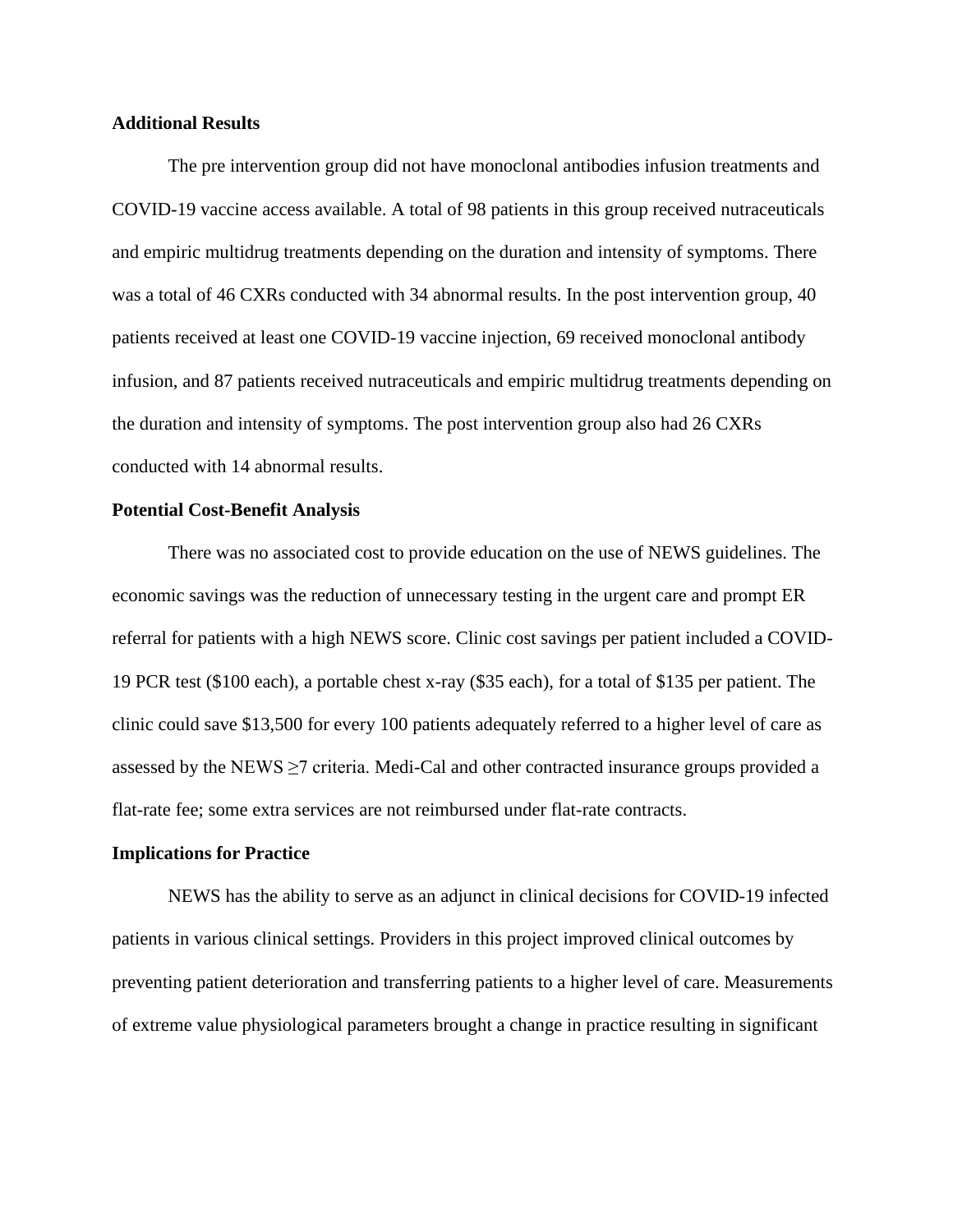#### **Additional Results**

The pre intervention group did not have monoclonal antibodies infusion treatments and COVID-19 vaccine access available. A total of 98 patients in this group received nutraceuticals and empiric multidrug treatments depending on the duration and intensity of symptoms. There was a total of 46 CXRs conducted with 34 abnormal results. In the post intervention group, 40 patients received at least one COVID-19 vaccine injection, 69 received monoclonal antibody infusion, and 87 patients received nutraceuticals and empiric multidrug treatments depending on the duration and intensity of symptoms. The post intervention group also had 26 CXRs conducted with 14 abnormal results.

#### **Potential Cost-Benefit Analysis**

There was no associated cost to provide education on the use of NEWS guidelines. The economic savings was the reduction of unnecessary testing in the urgent care and prompt ER referral for patients with a high NEWS score. Clinic cost savings per patient included a COVID-19 PCR test (\$100 each), a portable chest x-ray (\$35 each), for a total of \$135 per patient. The clinic could save \$13,500 for every 100 patients adequately referred to a higher level of care as assessed by the NEWS  $\geq$ 7 criteria. Medi-Cal and other contracted insurance groups provided a flat-rate fee; some extra services are not reimbursed under flat-rate contracts.

### **Implications for Practice**

NEWS has the ability to serve as an adjunct in clinical decisions for COVID-19 infected patients in various clinical settings. Providers in this project improved clinical outcomes by preventing patient deterioration and transferring patients to a higher level of care. Measurements of extreme value physiological parameters brought a change in practice resulting in significant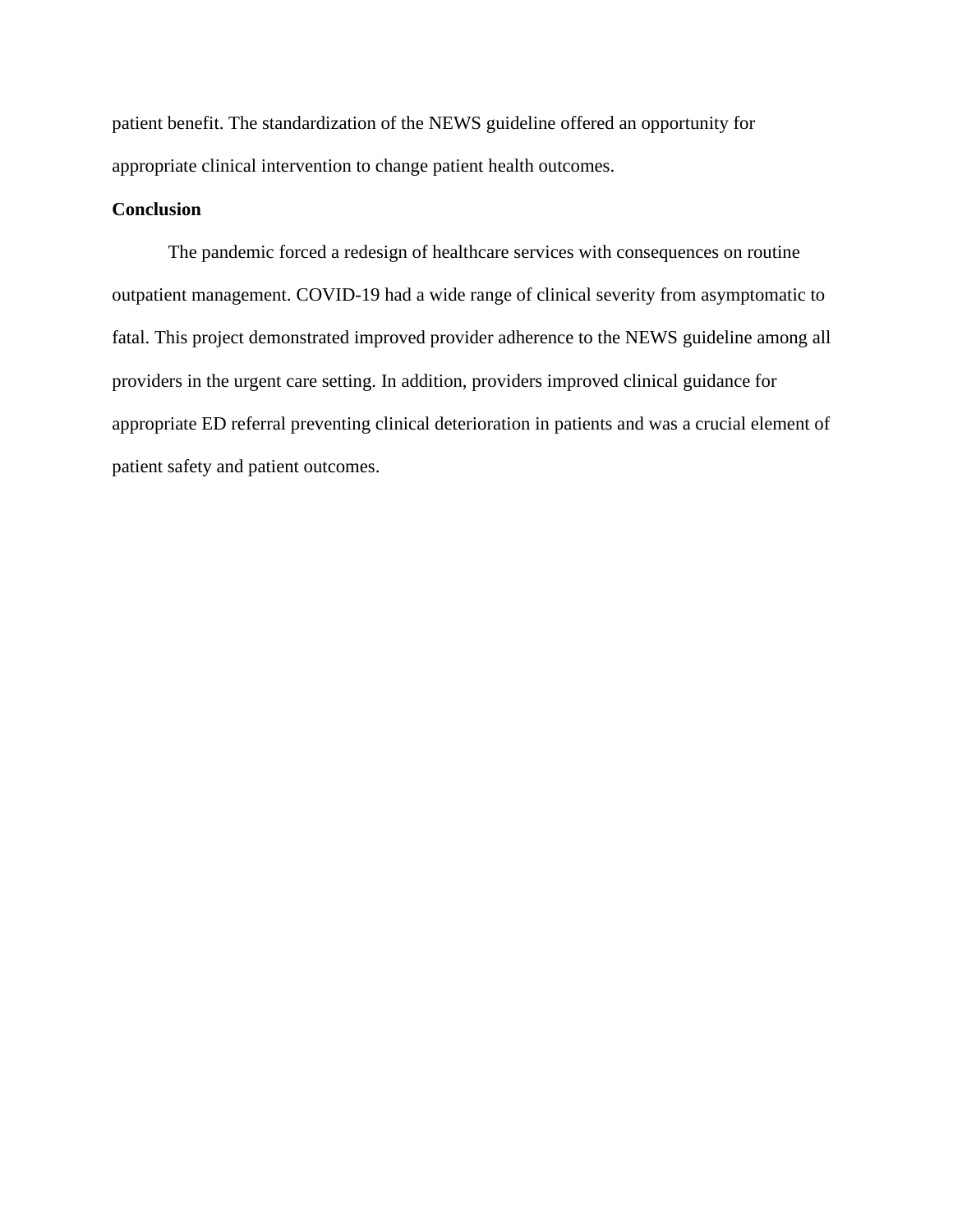patient benefit. The standardization of the NEWS guideline offered an opportunity for appropriate clinical intervention to change patient health outcomes.

## **Conclusion**

The pandemic forced a redesign of healthcare services with consequences on routine outpatient management. COVID-19 had a wide range of clinical severity from asymptomatic to fatal. This project demonstrated improved provider adherence to the NEWS guideline among all providers in the urgent care setting. In addition, providers improved clinical guidance for appropriate ED referral preventing clinical deterioration in patients and was a crucial element of patient safety and patient outcomes.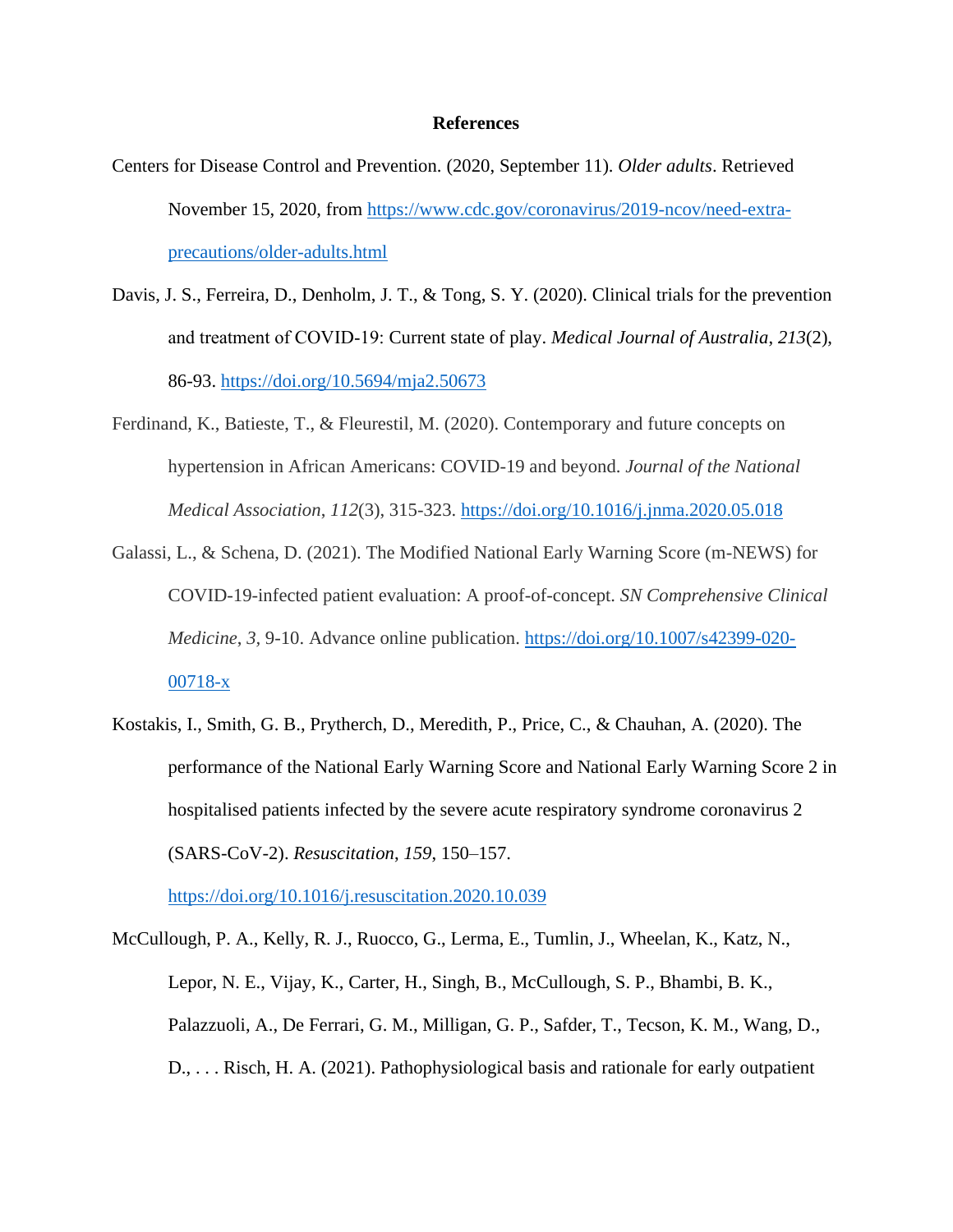#### **References**

- Centers for Disease Control and Prevention. (2020, September 11). *Older adults*. Retrieved November 15, 2020, from [https://www.cdc.gov/coronavirus/2019-ncov/need-extra](https://www.cdc.gov/coronavirus/2019-ncov/need-extra-precautions/older-adults.html)[precautions/older-adults.html](https://www.cdc.gov/coronavirus/2019-ncov/need-extra-precautions/older-adults.html)
- Davis, J. S., Ferreira, D., Denholm, J. T., & Tong, S. Y. (2020). Clinical trials for the prevention and treatment of COVID‐19: Current state of play. *Medical Journal of Australia*, *213*(2), 86-93. <https://doi.org/10.5694/mja2.50673>
- Ferdinand, K., Batieste, T., & Fleurestil, M. (2020). Contemporary and future concepts on hypertension in African Americans: COVID-19 and beyond. *Journal of the National Medical Association*, *112*(3), 315-323. <https://doi.org/10.1016/j.jnma.2020.05.018>
- Galassi, L., & Schena, D. (2021). The Modified National Early Warning Score (m-NEWS) for COVID-19-infected patient evaluation: A proof-of-concept. *SN Comprehensive Clinical Medicine*, *3,* 9-10. Advance online publication. [https://doi.org/10.1007/s42399-020-](https://doi.org/10.1007/s42399-020-00718-x) [00718-x](https://doi.org/10.1007/s42399-020-00718-x)
- Kostakis, I., Smith, G. B., Prytherch, D., Meredith, P., Price, C., & Chauhan, A. (2020). The performance of the National Early Warning Score and National Early Warning Score 2 in hospitalised patients infected by the severe acute respiratory syndrome coronavirus 2 (SARS-CoV-2). *Resuscitation*, *159*, 150–157.

<https://doi.org/10.1016/j.resuscitation.2020.10.039>

McCullough, P. A., Kelly, R. J., Ruocco, G., Lerma, E., Tumlin, J., Wheelan, K., Katz, N., Lepor, N. E., Vijay, K., Carter, H., Singh, B., McCullough, S. P., Bhambi, B. K., Palazzuoli, A., De Ferrari, G. M., Milligan, G. P., Safder, T., Tecson, K. M., Wang, D., D., . . . Risch, H. A. (2021). Pathophysiological basis and rationale for early outpatient